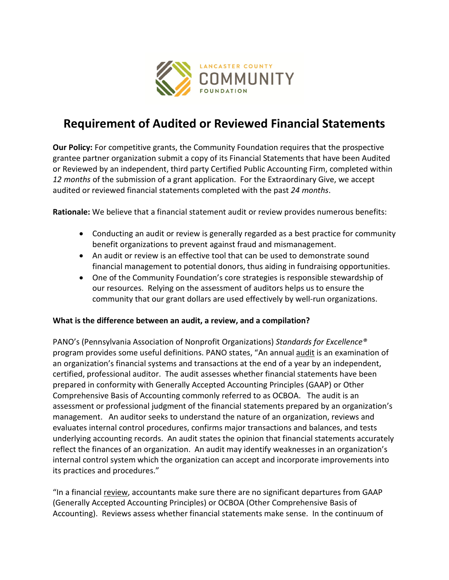

## **Requirement of Audited or Reviewed Financial Statements**

**Our Policy:** For competitive grants, the Community Foundation requires that the prospective grantee partner organization submit a copy of its Financial Statements that have been Audited or Reviewed by an independent, third party Certified Public Accounting Firm, completed within *12 months* of the submission of a grant application. For the Extraordinary Give, we accept audited or reviewed financial statements completed with the past *24 months*.

**Rationale:** We believe that a financial statement audit or review provides numerous benefits:

- Conducting an audit or review is generally regarded as a best practice for community benefit organizations to prevent against fraud and mismanagement.
- An audit or review is an effective tool that can be used to demonstrate sound financial management to potential donors, thus aiding in fundraising opportunities.
- One of the Community Foundation's core strategies is responsible stewardship of our resources. Relying on the assessment of auditors helps us to ensure the community that our grant dollars are used effectively by well-run organizations.

## **What is the difference between an audit, a review, and a compilation?**

PANO's (Pennsylvania Association of Nonprofit Organizations) *Standards for Excellence®* program provides some useful definitions. PANO states, "An annual audit is an examination of an organization's financial systems and transactions at the end of a year by an independent, certified, professional auditor. The audit assesses whether financial statements have been prepared in conformity with Generally Accepted Accounting Principles (GAAP) or Other Comprehensive Basis of Accounting commonly referred to as OCBOA. The audit is an assessment or professional judgment of the financial statements prepared by an organization's management. An auditor seeks to understand the nature of an organization, reviews and evaluates internal control procedures, confirms major transactions and balances, and tests underlying accounting records. An audit states the opinion that financial statements accurately reflect the finances of an organization. An audit may identify weaknesses in an organization's internal control system which the organization can accept and incorporate improvements into its practices and procedures."

"In a financial review, accountants make sure there are no significant departures from GAAP (Generally Accepted Accounting Principles) or OCBOA (Other Comprehensive Basis of Accounting). Reviews assess whether financial statements make sense. In the continuum of